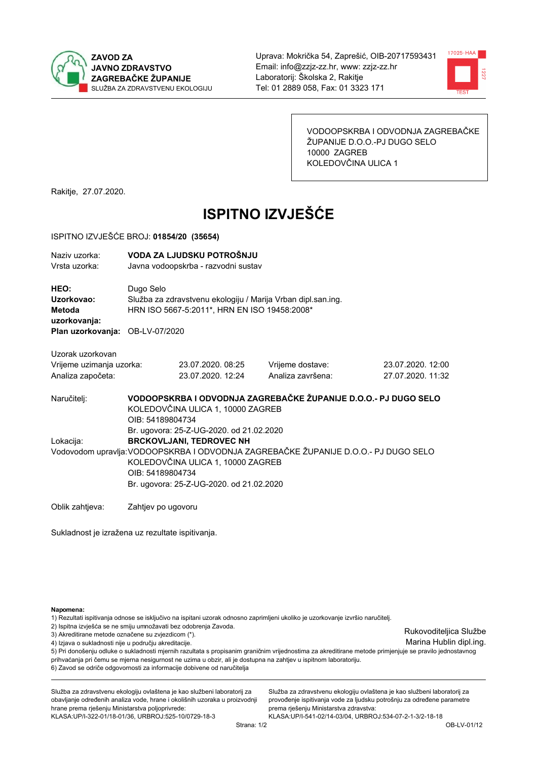



VODOOPSKRBA I ODVODNJA ZAGREBAČKE ŽUPANIJE D.O.O.-PJ DUGO SELO 10000 ZAGREB KOLEDOVČINA ULICA 1

Rakitje, 27.07.2020.

# **ISPITNO IZVJEŠĆE**

#### ISPITNO IZVJEŠĆE BROJ: 01854/20 (35654)

| Naziv uzorka:<br>Vrsta uzorka:                      |                                                                                                                                                                                                                                                                         | VODA ZA LJUDSKU POTROŠNJU<br>Javna vodoopskrba - razvodni sustav |                                                                 |                                        |  |  |  |
|-----------------------------------------------------|-------------------------------------------------------------------------------------------------------------------------------------------------------------------------------------------------------------------------------------------------------------------------|------------------------------------------------------------------|-----------------------------------------------------------------|----------------------------------------|--|--|--|
| <b>HEO:</b><br>Uzorkovao:<br>Metoda<br>uzorkovanja: | Dugo Selo<br>Služba za zdravstvenu ekologiju / Marija Vrban dipl.san.ing.<br>HRN ISO 5667-5:2011*, HRN EN ISO 19458:2008*                                                                                                                                               |                                                                  |                                                                 |                                        |  |  |  |
| Plan uzorkovanja: OB-LV-07/2020                     |                                                                                                                                                                                                                                                                         |                                                                  |                                                                 |                                        |  |  |  |
| Uzorak uzorkovan                                    |                                                                                                                                                                                                                                                                         |                                                                  |                                                                 |                                        |  |  |  |
| Vrijeme uzimanja uzorka:<br>Analiza započeta:       |                                                                                                                                                                                                                                                                         | 23.07.2020, 08:25<br>23.07.2020. 12:24                           | Vrijeme dostave:<br>Analiza završena:                           | 23.07.2020, 12:00<br>27.07.2020. 11:32 |  |  |  |
| Naručitelj:                                         | OIB: 54189804734                                                                                                                                                                                                                                                        | KOLEDOVČINA ULICA 1, 10000 ZAGREB                                | VODOOPSKRBA I ODVODNJA ZAGREBAČKE ŽUPANIJE D.O.O.- PJ DUGO SELO |                                        |  |  |  |
| Lokacija:                                           | Br. ugovora: 25-Z-UG-2020. od 21.02.2020<br><b>BRCKOVLJANI, TEDROVEC NH</b><br>Vodovodom upravlja: VODOOPSKRBA I ODVODNJA ZAGREBAČKE ŽUPANIJE D.O.O.- PJ DUGO SELO<br>KOLEDOVČINA ULICA 1, 10000 ZAGREB<br>OIB: 54189804734<br>Br. ugovora: 25-Z-UG-2020. od 21.02.2020 |                                                                  |                                                                 |                                        |  |  |  |
| Oblik zahtjeva:                                     | Zahtjev po ugovoru                                                                                                                                                                                                                                                      |                                                                  |                                                                 |                                        |  |  |  |

Sukladnost je izražena uz rezultate ispitivanja.

Napomena:

1) Rezultati ispitivanja odnose se isključivo na ispitani uzorak odnosno zaprimljeni ukoliko je uzorkovanje izvršio naručitelj.

2) Ispitna izvješća se ne smiju umnožavati bez odobrenja Zavoda.

3) Akreditirane metode označene su zvjezdicom (\*).

4) Izjava o sukladnosti nije u području akreditacije.

5) Pri donošenju odluke o sukladnosti mjernih razultata s propisanim graničnim vrijednostima za akreditirane metode primjenjuje se pravilo jednostavnog prihvaćanja pri čemu se mjerna nesigurnost ne uzima u obzir, ali je dostupna na zahtjev u ispitnom laboratoriju.

6) Zavod se odriče odgovornosti za informacije dobivene od naručitelja

Služba za zdravstvenu ekologiju ovlaštena je kao službeni laboratorij za obavljanje određenih analiza vode, hrane i okolišnih uzoraka u proizvodnji hrane prema rješenju Ministarstva poljoprivrede:

KLASA.UP/I-322-01/18-01/36, URBROJ.525-10/0729-18-3

Služba za zdravstvenu ekologiju ovlaštena je kao službeni laboratorij za provođenje ispitivanja vode za ljudsku potrošnju za određene parametre prema riešenju Ministarstva zdravstva:

KLASA:UP/I-541-02/14-03/04, URBROJ:534-07-2-1-3/2-18-18

Rukovoditeljica Službe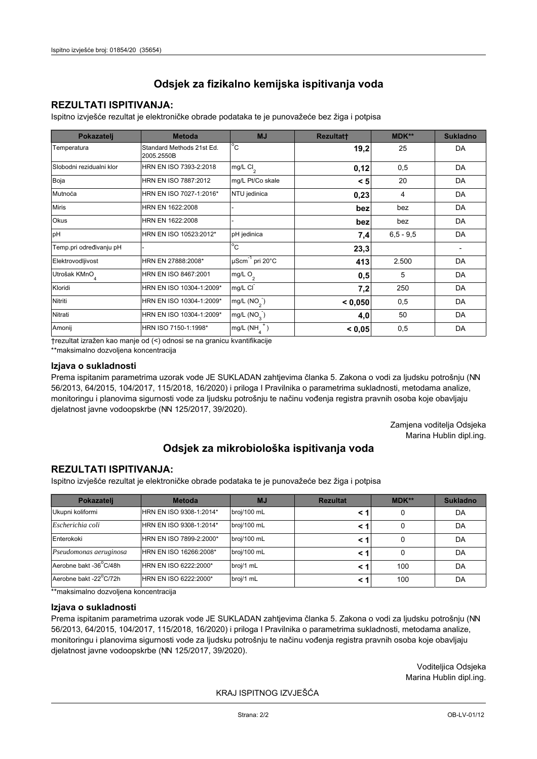## **REZULTATI ISPITIVANJA:**

Ispitno izviešće rezultat je elektroničke obrade podataka te je punovažeće bez žiga i potpisa

| Pokazatelj                | <b>Metoda</b>                           | <b>MJ</b>                   | <b>Rezultatt</b> | MDK**         | <b>Sukladno</b> |
|---------------------------|-----------------------------------------|-----------------------------|------------------|---------------|-----------------|
| Temperatura               | Standard Methods 21st Ed.<br>2005.2550B | $^{\circ}$ C                | 19,2             | 25            | DA              |
| Slobodni rezidualni klor  | HRN EN ISO 7393-2:2018                  | mg/L Cl <sub>2</sub>        | 0,12             | 0,5           | DA              |
| Boja                      | HRN EN ISO 7887:2012                    | mg/L Pt/Co skale            | < 5              | 20            | DA              |
| Mutnoća                   | HRN EN ISO 7027-1:2016*                 | NTU jedinica                | 0,23             | 4             | DA              |
| <b>Miris</b>              | HRN EN 1622:2008                        |                             | bez              | bez           | DA              |
| <b>Okus</b>               | HRN EN 1622:2008                        |                             | bez              | bez           | DA              |
| pH                        | HRN EN ISO 10523:2012*                  | pH jedinica                 | 7,4              | $6, 5 - 9, 5$ | DA              |
| Temp.pri određivanju pH   |                                         | $\overline{C}$              | 23,3             |               |                 |
| Elektrovodljivost         | HRN EN 27888:2008*                      | µScm <sup>-1</sup> pri 20°C | 413              | 2.500         | DA              |
| Utrošak KMnO <sub>4</sub> | HRN EN ISO 8467:2001                    | mg/L O <sub>2</sub>         | 0,5              | 5             | DA              |
| Kloridi                   | HRN EN ISO 10304-1:2009*                | mg/L CI                     | 7,2              | 250           | DA              |
| Nitriti                   | HRN EN ISO 10304-1:2009*                | mg/L $(NO2)$                | < 0,050          | 0,5           | DA              |
| Nitrati                   | HRN EN ISO 10304-1:2009*                | mg/L (NO <sub>3</sub> )     | 4,0              | 50            | DA              |
| Amonij                    | HRN ISO 7150-1:1998*                    | mg/L (NH                    | < 0,05           | 0,5           | DA              |

trezultat izražen kao manje od (<) odnosi se na granicu kvantifikacije

\*\*maksimalno dozvoljena koncentracija

### Izjava o sukladnosti

Prema ispitanim parametrima uzorak vode JE SUKLADAN zahtievima članka 5. Zakona o vodi za ljudsku potrošnju (NN 56/2013, 64/2015, 104/2017, 115/2018, 16/2020) i priloga I Pravilnika o parametrima sukladnosti, metodama analize, monitoringu i planovima sigurnosti vode za ljudsku potrošnju te načinu vođenja registra pravnih osoba koje obavljaju djelatnost javne vodoopskrbe (NN 125/2017, 39/2020).

> Zamjena voditelja Odsjeka Marina Hublin dipl.ing.

# Odsjek za mikrobiološka ispitivanja voda

## **REZULTATI ISPITIVANJA:**

Ispitno izvješće rezultat je elektroničke obrade podataka te je punovažeće bez žiga i potpisa

| Pokazatelj             | <b>Metoda</b>           | <b>MJ</b>   | <b>Rezultat</b> | $MDK**$ | <b>Sukladno</b> |
|------------------------|-------------------------|-------------|-----------------|---------|-----------------|
| Ukupni koliformi       | HRN EN ISO 9308-1:2014* | broj/100 mL |                 | 0       | DA              |
| Escherichia coli       | HRN EN ISO 9308-1:2014* | broj/100 mL |                 | 0       | DA              |
| Enterokoki             | HRN EN ISO 7899-2:2000* | broj/100 mL |                 | 0       | DA              |
| Pseudomonas aeruginosa | HRN EN ISO 16266:2008*  | broj/100 mL | < 1             | 0       | DA              |
| Aerobne bakt -36 C/48h | HRN EN ISO 6222:2000*   | broj/1 mL   |                 | 100     | DA              |
| Aerobne bakt -22°C/72h | HRN EN ISO 6222:2000*   | broj/1 mL   |                 | 100     | DA              |

\*\* maksimalno dozvoljena koncentracija

#### Izjava o sukladnosti

Prema ispitanim parametrima uzorak vode JE SUKLADAN zahtjevima članka 5. Zakona o vodi za ljudsku potrošnju (NN 56/2013, 64/2015, 104/2017, 115/2018, 16/2020) i priloga I Pravilnika o parametrima sukladnosti, metodama analize, monitoringu i planovima sigurnosti vode za ljudsku potrošnju te načinu vođenja registra pravnih osoba koje obavljaju dielatnost javne vodoopskrbe (NN 125/2017, 39/2020).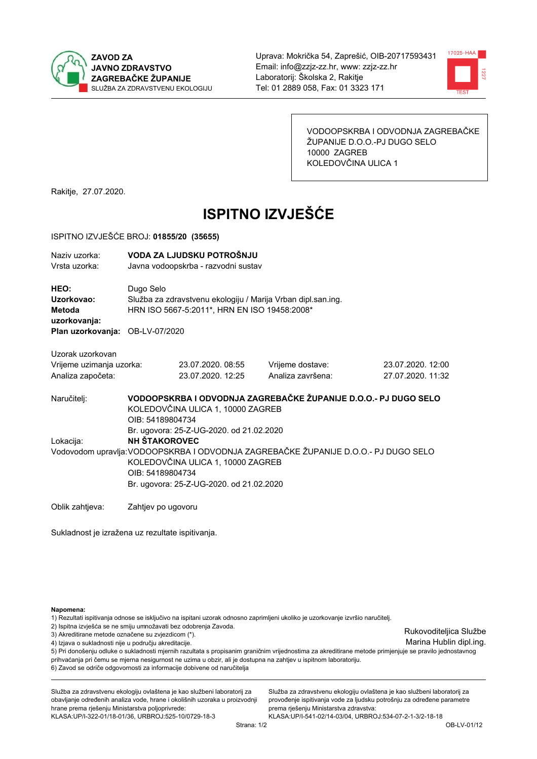



VODOOPSKRBA I ODVODNJA ZAGREBAČKE ŽUPANIJE D.O.O.-PJ DUGO SELO 10000 ZAGREB KOLEDOVČINA ULICA 1

Rakitje, 27.07.2020.

# **ISPITNO IZVJEŠĆE**

#### ISPITNO IZVJEŠĆE BROJ: 01855/20 (35655)

| Naziv uzorka:<br>Vrsta uzorka:                                                  |                                                                                                                                                                                          | VODA ZA LJUDSKU POTROŠNJU<br>Javna vodoopskrba - razvodni sustav                                             |                                                                 |                   |  |  |  |
|---------------------------------------------------------------------------------|------------------------------------------------------------------------------------------------------------------------------------------------------------------------------------------|--------------------------------------------------------------------------------------------------------------|-----------------------------------------------------------------|-------------------|--|--|--|
| HEO:<br>Uzorkovao:<br>Metoda<br>uzorkovanja:<br>Plan uzorkovanja: OB-LV-07/2020 | Dugo Selo                                                                                                                                                                                | Služba za zdravstvenu ekologiju / Marija Vrban dipl.san.ing.<br>HRN ISO 5667-5:2011*, HRN EN ISO 19458:2008* |                                                                 |                   |  |  |  |
|                                                                                 |                                                                                                                                                                                          |                                                                                                              |                                                                 |                   |  |  |  |
| Uzorak uzorkovan                                                                |                                                                                                                                                                                          |                                                                                                              |                                                                 |                   |  |  |  |
| Vrijeme uzimanja uzorka:                                                        |                                                                                                                                                                                          | 23.07.2020, 08:55                                                                                            | Vrijeme dostave:                                                | 23.07.2020, 12:00 |  |  |  |
| Analiza započeta:                                                               |                                                                                                                                                                                          | 23.07.2020. 12:25                                                                                            | Analiza završena:                                               | 27.07.2020. 11:32 |  |  |  |
| Naručitelj:                                                                     | OIB: 54189804734                                                                                                                                                                         | KOLEDOVČINA ULICA 1, 10000 ZAGREB<br>Br. ugovora: 25-Z-UG-2020. od 21.02.2020                                | VODOOPSKRBA I ODVODNJA ZAGREBAČKE ŽUPANIJE D.O.O.- PJ DUGO SELO |                   |  |  |  |
| Lokacija:                                                                       | <b>NH ŠTAKOROVEC</b>                                                                                                                                                                     |                                                                                                              |                                                                 |                   |  |  |  |
|                                                                                 | Vodovodom upravlja: VODOOPSKRBA I ODVODNJA ZAGREBAČKE ŽUPANIJE D.O.O.- PJ DUGO SELO<br>KOLEDOVČINA ULICA 1, 10000 ZAGREB<br>OIB: 54189804734<br>Br. ugovora: 25-Z-UG-2020. od 21.02.2020 |                                                                                                              |                                                                 |                   |  |  |  |
| Oblik zahtjeva:                                                                 | Zahtjev po ugovoru                                                                                                                                                                       |                                                                                                              |                                                                 |                   |  |  |  |

Sukladnost je izražena uz rezultate ispitivanja.

Napomena:

1) Rezultati ispitivanja odnose se isključivo na ispitani uzorak odnosno zaprimljeni ukoliko je uzorkovanje izvršio naručitelj.

2) Ispitna izvješća se ne smiju umnožavati bez odobrenja Zavoda.

3) Akreditirane metode označene su zvjezdicom (\*).

4) Izjava o sukladnosti nije u području akreditacije.

5) Pri donošenju odluke o sukladnosti mjernih razultata s propisanim graničnim vrijednostima za akreditirane metode primjenjuje se pravilo jednostavnog prihvaćanja pri čemu se mjerna nesigurnost ne uzima u obzir, ali je dostupna na zahtjev u ispitnom laboratoriju.

6) Zavod se odriče odgovornosti za informacije dobivene od naručitelja

Služba za zdravstvenu ekologiju ovlaštena je kao službeni laboratorij za obavljanje određenih analiza vode, hrane i okolišnih uzoraka u proizvodnji hrane prema rješenju Ministarstva poljoprivrede:

KLASA.UP/I-322-01/18-01/36, URBROJ.525-10/0729-18-3

Služba za zdravstvenu ekologiju ovlaštena je kao službeni laboratorij za provođenje ispitivanja vode za ljudsku potrošnju za određene parametre prema riešenju Ministarstva zdravstva:

KLASA:UP/I-541-02/14-03/04, URBROJ:534-07-2-1-3/2-18-18

Rukovoditeljica Službe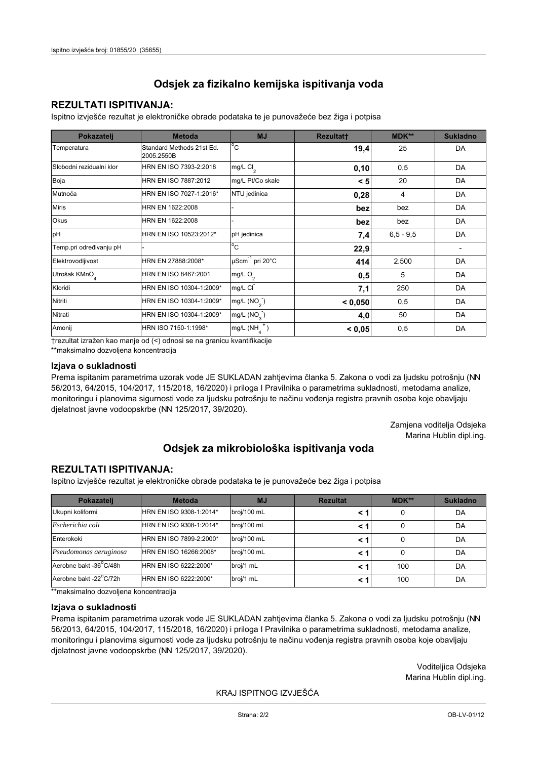## **REZULTATI ISPITIVANJA:**

Ispitno izviešće rezultat je elektroničke obrade podataka te je punovažeće bez žiga i potpisa

| Pokazatelj                | <b>Metoda</b>                           | <b>MJ</b>                   | <b>Rezultatt</b> | MDK**         | <b>Sukladno</b> |
|---------------------------|-----------------------------------------|-----------------------------|------------------|---------------|-----------------|
| Temperatura               | Standard Methods 21st Ed.<br>2005.2550B | $^{\circ}$ C                | 19,4             | 25            | DA              |
| Slobodni rezidualni klor  | HRN EN ISO 7393-2:2018                  | mg/L Cl <sub>2</sub>        | 0,10             | 0,5           | DA              |
| Boja                      | HRN EN ISO 7887:2012                    | mg/L Pt/Co skale            | < 5              | 20            | DA              |
| Mutnoća                   | HRN EN ISO 7027-1:2016*                 | NTU jedinica                | 0,28             | 4             | DA              |
| <b>Miris</b>              | HRN EN 1622:2008                        |                             | bez              | bez           | DA              |
| <b>Okus</b>               | HRN EN 1622:2008                        |                             | bez              | bez           | DA              |
| pH                        | HRN EN ISO 10523:2012*                  | pH jedinica                 | 7,4              | $6, 5 - 9, 5$ | DA              |
| Temp.pri određivanju pH   |                                         | $\overline{C}$              | 22,9             |               |                 |
| Elektrovodljivost         | HRN EN 27888:2008*                      | µScm <sup>-1</sup> pri 20°C | 414              | 2.500         | DA              |
| Utrošak KMnO <sub>4</sub> | HRN EN ISO 8467:2001                    | mg/L O <sub>2</sub>         | 0,5              | 5             | DA              |
| Kloridi                   | HRN EN ISO 10304-1:2009*                | mg/L CI                     | 7,1              | 250           | DA              |
| Nitriti                   | HRN EN ISO 10304-1:2009*                | mg/L $(NO2)$                | < 0,050          | 0,5           | DA              |
| Nitrati                   | HRN EN ISO 10304-1:2009*                | mg/L (NO <sub>3</sub> )     | 4,0              | 50            | DA              |
| Amonij                    | HRN ISO 7150-1:1998*                    | mg/L (NH                    | < 0,05           | 0,5           | DA              |

trezultat izražen kao manje od (<) odnosi se na granicu kvantifikacije

\*\*maksimalno dozvoljena koncentracija

### Izjava o sukladnosti

Prema ispitanim parametrima uzorak vode JE SUKLADAN zahtievima članka 5. Zakona o vodi za ljudsku potrošnju (NN 56/2013, 64/2015, 104/2017, 115/2018, 16/2020) i priloga I Pravilnika o parametrima sukladnosti, metodama analize, monitoringu i planovima sigurnosti vode za ljudsku potrošnju te načinu vođenja registra pravnih osoba koje obavljaju djelatnost javne vodoopskrbe (NN 125/2017, 39/2020).

> Zamjena voditelja Odsjeka Marina Hublin dipl.ing.

# Odsjek za mikrobiološka ispitivanja voda

## **REZULTATI ISPITIVANJA:**

Ispitno izvješće rezultat je elektroničke obrade podataka te je punovažeće bez žiga i potpisa

| Pokazatelj             | <b>Metoda</b>           | <b>MJ</b>   | <b>Rezultat</b> | $MDK**$ | <b>Sukladno</b> |
|------------------------|-------------------------|-------------|-----------------|---------|-----------------|
| Ukupni koliformi       | HRN EN ISO 9308-1:2014* | broj/100 mL |                 | 0       | DA              |
| Escherichia coli       | HRN EN ISO 9308-1:2014* | broj/100 mL |                 | 0       | DA              |
| Enterokoki             | HRN EN ISO 7899-2:2000* | broj/100 mL |                 | 0       | DA              |
| Pseudomonas aeruginosa | HRN EN ISO 16266:2008*  | broj/100 mL | < 1             | 0       | DA              |
| Aerobne bakt -36 C/48h | HRN EN ISO 6222:2000*   | broj/1 mL   |                 | 100     | DA              |
| Aerobne bakt -22°C/72h | HRN EN ISO 6222:2000*   | broj/1 mL   |                 | 100     | DA              |

\*\* maksimalno dozvoljena koncentracija

#### Izjava o sukladnosti

Prema ispitanim parametrima uzorak vode JE SUKLADAN zahtjevima članka 5. Zakona o vodi za ljudsku potrošnju (NN 56/2013, 64/2015, 104/2017, 115/2018, 16/2020) i priloga I Pravilnika o parametrima sukladnosti, metodama analize, monitoringu i planovima sigurnosti vode za ljudsku potrošnju te načinu vođenja registra pravnih osoba koje obavljaju dielatnost javne vodoopskrbe (NN 125/2017, 39/2020).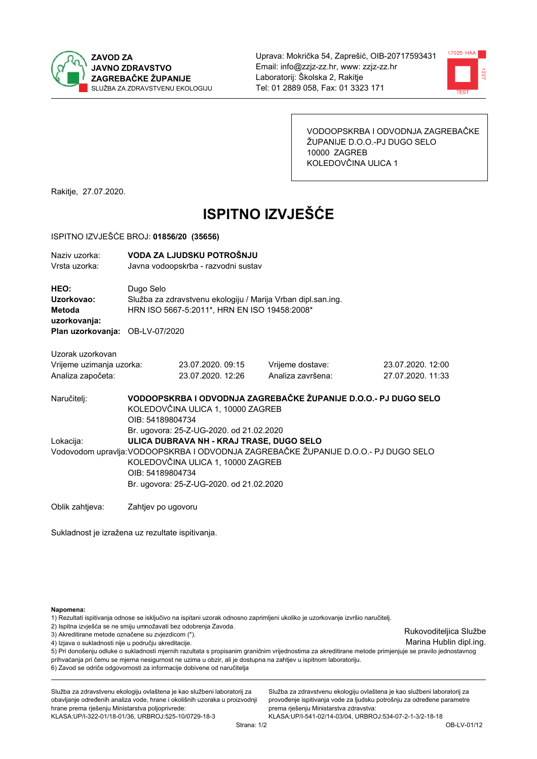



VODOOPSKRBA I ODVODNJA ZAGREBAČKE ŽUPANIJE D.O.O.-PJ DUGO SELO 10000 ZAGREB KOLEDOVČINA ULICA 1

Rakitje, 27.07.2020.

# **ISPITNO IZVJEŠĆE**

#### ISPITNO IZVJEŠĆE BROJ: 01856/20 (35656)

| Naziv uzorka:                   | VODA ZA LJUDSKU POTROŠNJU                                                           |                                              |                                                                 |                   |  |  |
|---------------------------------|-------------------------------------------------------------------------------------|----------------------------------------------|-----------------------------------------------------------------|-------------------|--|--|
| Vrsta uzorka:                   |                                                                                     | Javna vodoopskrba - razvodni sustav          |                                                                 |                   |  |  |
|                                 |                                                                                     |                                              |                                                                 |                   |  |  |
| HEO:                            | Dugo Selo                                                                           |                                              |                                                                 |                   |  |  |
| Uzorkovao:                      |                                                                                     |                                              | Služba za zdravstvenu ekologiju / Marija Vrban dipl.san.ing.    |                   |  |  |
| Metoda                          |                                                                                     | HRN ISO 5667-5:2011*, HRN EN ISO 19458:2008* |                                                                 |                   |  |  |
| uzorkovanja:                    |                                                                                     |                                              |                                                                 |                   |  |  |
| Plan uzorkovanja: OB-LV-07/2020 |                                                                                     |                                              |                                                                 |                   |  |  |
| Uzorak uzorkovan                |                                                                                     |                                              |                                                                 |                   |  |  |
| Vrijeme uzimanja uzorka:        |                                                                                     | 23.07.2020. 09:15                            | Vrijeme dostave:                                                | 23.07.2020. 12:00 |  |  |
| Analiza započeta:               |                                                                                     | 23.07.2020. 12:26                            | Analiza završena:                                               | 27.07.2020. 11:33 |  |  |
|                                 |                                                                                     |                                              |                                                                 |                   |  |  |
| Naručitelj:                     |                                                                                     |                                              | VODOOPSKRBA I ODVODNJA ZAGREBAČKE ŽUPANIJE D.O.O.- PJ DUGO SELO |                   |  |  |
|                                 | KOLEDOVČINA ULICA 1, 10000 ZAGREB                                                   |                                              |                                                                 |                   |  |  |
|                                 | OIB: 54189804734                                                                    |                                              |                                                                 |                   |  |  |
|                                 |                                                                                     | Br. ugovora: 25-Z-UG-2020. od 21.02.2020     |                                                                 |                   |  |  |
| Lokacija:                       |                                                                                     | ULICA DUBRAVA NH - KRAJ TRASE, DUGO SELO     |                                                                 |                   |  |  |
|                                 | Vodovodom upravlja: VODOOPSKRBA I ODVODNJA ZAGREBAČKE ŽUPANIJE D.O.O.- PJ DUGO SELO |                                              |                                                                 |                   |  |  |
|                                 | KOLEDOVČINA ULICA 1, 10000 ZAGREB                                                   |                                              |                                                                 |                   |  |  |
|                                 | OIB: 54189804734                                                                    |                                              |                                                                 |                   |  |  |
|                                 |                                                                                     | Br. ugovora: 25-Z-UG-2020. od 21.02.2020     |                                                                 |                   |  |  |
| Oblik zahtjeva:                 | Zahtjev po ugovoru                                                                  |                                              |                                                                 |                   |  |  |

Sukladnost je izražena uz rezultate ispitivanja.

Napomena:

1) Rezultati ispitivanja odnose se isključivo na ispitani uzorak odnosno zaprimljeni ukoliko je uzorkovanje izvršio naručitelj.

2) Ispitna izvješća se ne smiju umnožavati bez odobrenja Zavoda.

3) Akreditirane metode označene su zvjezdicom (\*).

4) Izjava o sukladnosti nije u području akreditacije.

5) Pri donošenju odluke o sukladnosti mjernih razultata s propisanim graničnim vrijednostima za akreditirane metode primjenjuje se pravilo jednostavnog prihvaćanja pri čemu se mjerna nesigurnost ne uzima u obzir, ali je dostupna na zahtjev u ispitnom laboratoriju.

6) Zavod se odriče odgovornosti za informacije dobivene od naručitelja

Služba za zdravstvenu ekologiju ovlaštena je kao službeni laboratorij za obavljanje određenih analiza vode, hrane i okolišnih uzoraka u proizvodnji hrane prema rješenju Ministarstva poljoprivrede:

KLASA.UP/I-322-01/18-01/36, URBROJ.525-10/0729-18-3

Služba za zdravstvenu ekologiju ovlaštena je kao službeni laboratorij za provođenje ispitivanja vode za ljudsku potrošnju za određene parametre prema riešenju Ministarstva zdravstva:

KLASA:UP/I-541-02/14-03/04, URBROJ:534-07-2-1-3/2-18-18

Rukovoditeljica Službe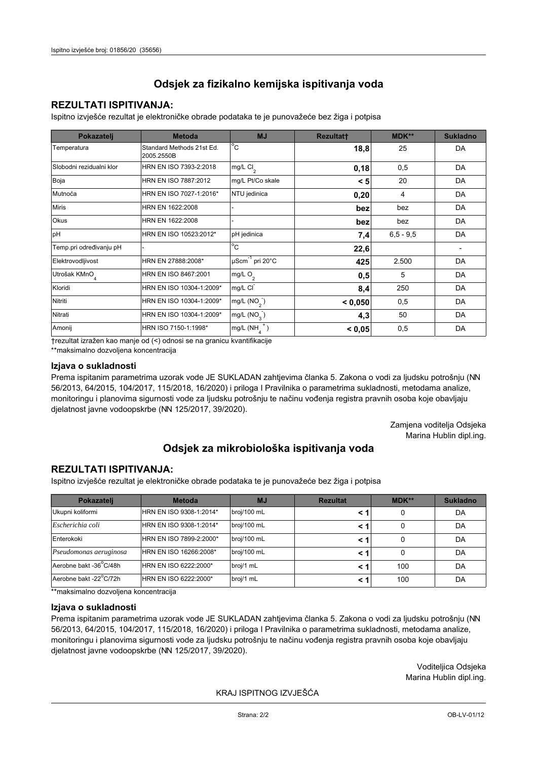## **REZULTATI ISPITIVANJA:**

Ispitno izviešće rezultat je elektroničke obrade podataka te je punovažeće bez žiga i potpisa

| Pokazatelj                | <b>Metoda</b>                           | <b>MJ</b>                   | <b>Rezultatt</b> | MDK**         | <b>Sukladno</b> |
|---------------------------|-----------------------------------------|-----------------------------|------------------|---------------|-----------------|
| Temperatura               | Standard Methods 21st Ed.<br>2005.2550B | $^{\circ}$ C                | 18,8             | 25            | DA              |
| Slobodni rezidualni klor  | HRN EN ISO 7393-2:2018                  | mg/L Cl <sub>2</sub>        | 0,18             | 0,5           | DA              |
| Boja                      | HRN EN ISO 7887:2012                    | mg/L Pt/Co skale            | < 5              | 20            | DA              |
| Mutnoća                   | HRN EN ISO 7027-1:2016*                 | NTU jedinica                | 0,20             | 4             | DA              |
| <b>Miris</b>              | HRN EN 1622:2008                        |                             | bez              | bez           | DA              |
| <b>Okus</b>               | HRN EN 1622:2008                        |                             | bez              | bez           | DA              |
| pH                        | HRN EN ISO 10523:2012*                  | pH jedinica                 | 7,4              | $6, 5 - 9, 5$ | DA              |
| Temp.pri određivanju pH   |                                         | $\overline{C}$              | 22,6             |               |                 |
| Elektrovodljivost         | HRN EN 27888:2008*                      | µScm <sup>-1</sup> pri 20°C | 425              | 2.500         | DA              |
| Utrošak KMnO <sub>4</sub> | HRN EN ISO 8467:2001                    | mg/L O <sub>2</sub>         | 0,5              | 5             | DA              |
| Kloridi                   | HRN EN ISO 10304-1:2009*                | mg/L CI                     | 8,4              | 250           | DA              |
| Nitriti                   | HRN EN ISO 10304-1:2009*                | mg/L $(NO2)$                | < 0,050          | 0,5           | DA              |
| Nitrati                   | HRN EN ISO 10304-1:2009*                | mg/L (NO <sub>3</sub> )     | 4,3              | 50            | DA              |
| Amonij                    | HRN ISO 7150-1:1998*                    | mg/L (NH                    | < 0,05           | 0,5           | DA              |

trezultat izražen kao manje od (<) odnosi se na granicu kvantifikacije

\*\*maksimalno dozvoljena koncentracija

### Izjava o sukladnosti

Prema ispitanim parametrima uzorak vode JE SUKLADAN zahtievima članka 5. Zakona o vodi za ljudsku potrošnju (NN 56/2013, 64/2015, 104/2017, 115/2018, 16/2020) i priloga I Pravilnika o parametrima sukladnosti, metodama analize, monitoringu i planovima sigurnosti vode za ljudsku potrošnju te načinu vođenja registra pravnih osoba koje obavljaju djelatnost javne vodoopskrbe (NN 125/2017, 39/2020).

> Zamjena voditelja Odsjeka Marina Hublin dipl.ing.

# Odsjek za mikrobiološka ispitivanja voda

## **REZULTATI ISPITIVANJA:**

Ispitno izvješće rezultat je elektroničke obrade podataka te je punovažeće bez žiga i potpisa

| Pokazatelj             | <b>Metoda</b>           | <b>MJ</b>   | <b>Rezultat</b> | $MDK**$ | <b>Sukladno</b> |
|------------------------|-------------------------|-------------|-----------------|---------|-----------------|
| Ukupni koliformi       | HRN EN ISO 9308-1:2014* | broj/100 mL |                 | 0       | DA              |
| Escherichia coli       | HRN EN ISO 9308-1:2014* | broj/100 mL |                 | 0       | DA              |
| Enterokoki             | HRN EN ISO 7899-2:2000* | broj/100 mL |                 | 0       | DA              |
| Pseudomonas aeruginosa | HRN EN ISO 16266:2008*  | broj/100 mL | < 1             | 0       | DA              |
| Aerobne bakt -36 C/48h | HRN EN ISO 6222:2000*   | broj/1 mL   |                 | 100     | DA              |
| Aerobne bakt -22°C/72h | HRN EN ISO 6222:2000*   | broj/1 mL   |                 | 100     | DA              |

\*\* maksimalno dozvoljena koncentracija

### Izjava o sukladnosti

Prema ispitanim parametrima uzorak vode JE SUKLADAN zahtjevima članka 5. Zakona o vodi za ljudsku potrošnju (NN 56/2013, 64/2015, 104/2017, 115/2018, 16/2020) i priloga I Pravilnika o parametrima sukladnosti, metodama analize, monitoringu i planovima sigurnosti vode za ljudsku potrošnju te načinu vođenja registra pravnih osoba koje obavljaju dielatnost javne vodoopskrbe (NN 125/2017, 39/2020).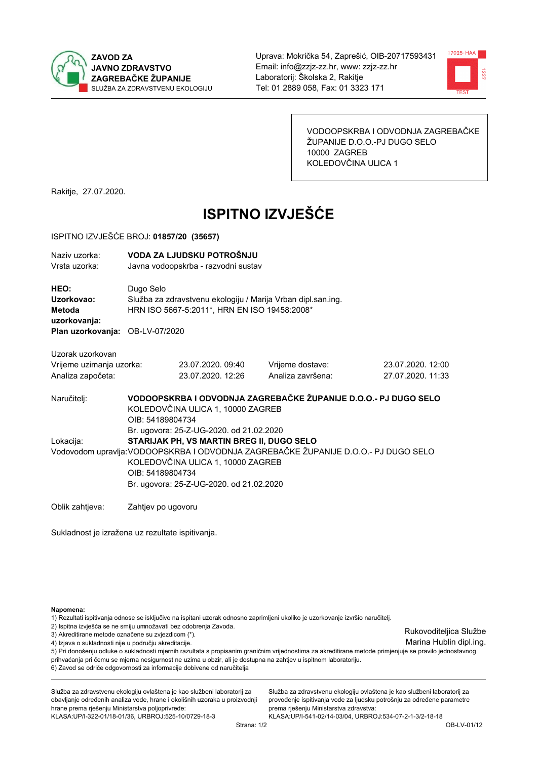



VODOOPSKRBA I ODVODNJA ZAGREBAČKE ŽUPANIJE D.O.O.-PJ DUGO SELO 10000 ZAGREB KOLEDOVČINA ULICA 1

Rakitje, 27.07.2020.

# **ISPITNO IZVJEŠĆE**

#### ISPITNO IZVJEŠĆE BROJ: 01857/20 (35657)

| Naziv uzorka:<br>Vrsta uzorka:                                                  |                                                                                                                                                                                                                                       | VODA ZA LJUDSKU POTROŠNJU<br>Javna vodoopskrba - razvodni sustav                                             |                                                                 |                   |  |  |
|---------------------------------------------------------------------------------|---------------------------------------------------------------------------------------------------------------------------------------------------------------------------------------------------------------------------------------|--------------------------------------------------------------------------------------------------------------|-----------------------------------------------------------------|-------------------|--|--|
| HEO:<br>Uzorkovao:<br>Metoda<br>uzorkovanja:<br>Plan uzorkovanja: OB-LV-07/2020 | Dugo Selo                                                                                                                                                                                                                             | Služba za zdravstvenu ekologiju / Marija Vrban dipl.san.ing.<br>HRN ISO 5667-5:2011*, HRN EN ISO 19458:2008* |                                                                 |                   |  |  |
| Uzorak uzorkovan                                                                |                                                                                                                                                                                                                                       |                                                                                                              |                                                                 |                   |  |  |
|                                                                                 |                                                                                                                                                                                                                                       | 23.07.2020, 09:40                                                                                            |                                                                 | 23.07.2020. 12:00 |  |  |
| Vrijeme uzimanja uzorka:                                                        |                                                                                                                                                                                                                                       |                                                                                                              | Vrijeme dostave:                                                |                   |  |  |
| Analiza započeta:                                                               |                                                                                                                                                                                                                                       | 23.07.2020. 12:26                                                                                            | Analiza završena:                                               | 27.07.2020, 11:33 |  |  |
| Naručitelj:                                                                     | OIB: 54189804734                                                                                                                                                                                                                      | KOLEDOVČINA ULICA 1, 10000 ZAGREB<br>Br. ugovora: 25-Z-UG-2020. od 21.02.2020                                | VODOOPSKRBA I ODVODNJA ZAGREBAČKE ŽUPANIJE D.O.O.- PJ DUGO SELO |                   |  |  |
| Lokacija:                                                                       |                                                                                                                                                                                                                                       |                                                                                                              |                                                                 |                   |  |  |
|                                                                                 | STARIJAK PH, VS MARTIN BREG II, DUGO SELO<br>Vodovodom upravlja: VODOOPSKRBA I ODVODNJA ZAGREBAČKE ŽUPANIJE D.O.O.- PJ DUGO SELO<br>KOLEDOVČINA ULICA 1, 10000 ZAGREB<br>OIB: 54189804734<br>Br. ugovora: 25-Z-UG-2020. od 21.02.2020 |                                                                                                              |                                                                 |                   |  |  |
| Oblik zahtjeva:                                                                 | Zahtjev po ugovoru                                                                                                                                                                                                                    |                                                                                                              |                                                                 |                   |  |  |

Sukladnost je izražena uz rezultate ispitivanja.

Napomena:

1) Rezultati ispitivanja odnose se isključivo na ispitani uzorak odnosno zaprimljeni ukoliko je uzorkovanje izvršio naručitelj.

- 2) Ispitna izvješća se ne smiju umnožavati bez odobrenja Zavoda.
- 3) Akreditirane metode označene su zvjezdicom (\*).
- 4) Izjava o sukladnosti nije u području akreditacije.

5) Pri donošenju odluke o sukladnosti mjernih razultata s propisanim graničnim vrijednostima za akreditirane metode primjenjuje se pravilo jednostavnog prihvaćanja pri čemu se mjerna nesigurnost ne uzima u obzir, ali je dostupna na zahtjev u ispitnom laboratoriju.

6) Zavod se odriče odgovornosti za informacije dobivene od naručitelja

Služba za zdravstvenu ekologiju ovlaštena je kao službeni laboratorij za obavljanje određenih analiza vode, hrane i okolišnih uzoraka u proizvodnji hrane prema rješenju Ministarstva poljoprivrede:

KLASA.UP/I-322-01/18-01/36, URBROJ.525-10/0729-18-3

Služba za zdravstvenu ekologiju ovlaštena je kao službeni laboratorij za provođenje ispitivanja vode za ljudsku potrošnju za određene parametre prema riešenju Ministarstva zdravstva:

KLASA:UP/I-541-02/14-03/04, URBROJ:534-07-2-1-3/2-18-18

Rukovoditeljica Službe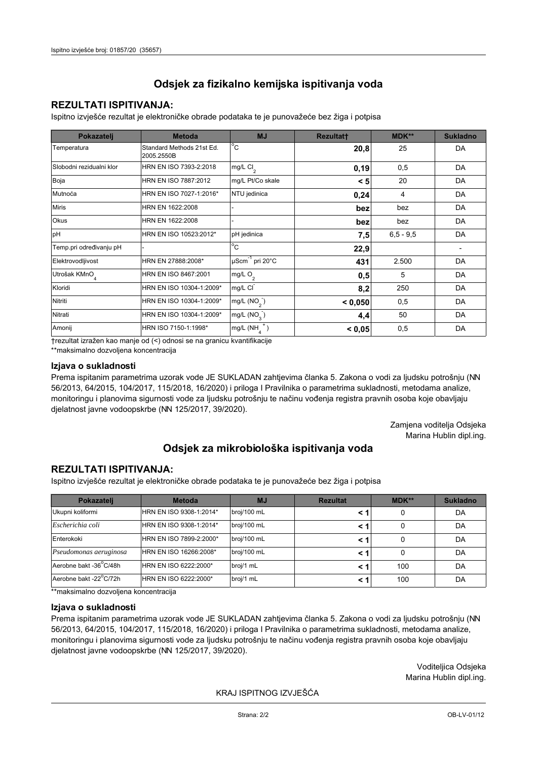## **REZULTATI ISPITIVANJA:**

Ispitno izviešće rezultat je elektroničke obrade podataka te je punovažeće bez žiga i potpisa

| Pokazatelj                | <b>Metoda</b>                           | <b>MJ</b>                   | <b>Rezultatt</b> | MDK**         | <b>Sukladno</b> |
|---------------------------|-----------------------------------------|-----------------------------|------------------|---------------|-----------------|
| Temperatura               | Standard Methods 21st Ed.<br>2005.2550B | $^{\circ}$ C                | 20,8             | 25            | DA              |
| Slobodni rezidualni klor  | HRN EN ISO 7393-2:2018                  | mg/L Cl <sub>2</sub>        | 0,19             | 0,5           | DA              |
| Boja                      | HRN EN ISO 7887:2012                    | mg/L Pt/Co skale            | < 5              | 20            | DA              |
| Mutnoća                   | HRN EN ISO 7027-1:2016*                 | NTU jedinica                | 0,24             | 4             | DA              |
| <b>Miris</b>              | HRN EN 1622:2008                        |                             | bez              | bez           | DA              |
| <b>Okus</b>               | HRN EN 1622:2008                        |                             | bez              | bez           | DA              |
| pH                        | HRN EN ISO 10523:2012*                  | pH jedinica                 | 7,5              | $6, 5 - 9, 5$ | DA              |
| Temp.pri određivanju pH   |                                         | $\overline{C}$              | 22,9             |               |                 |
| Elektrovodljivost         | HRN EN 27888:2008*                      | µScm <sup>-1</sup> pri 20°C | 431              | 2.500         | DA              |
| Utrošak KMnO <sub>4</sub> | HRN EN ISO 8467:2001                    | mg/L O <sub>2</sub>         | 0,5              | 5             | DA              |
| Kloridi                   | HRN EN ISO 10304-1:2009*                | mg/L CI                     | 8,2              | 250           | DA              |
| Nitriti                   | HRN EN ISO 10304-1:2009*                | mg/L $(NO2)$                | < 0,050          | 0,5           | DA              |
| Nitrati                   | HRN EN ISO 10304-1:2009*                | mg/L (NO <sub>3</sub> )     | 4,4              | 50            | DA              |
| Amonij                    | HRN ISO 7150-1:1998*                    | mg/L (NH                    | < 0,05           | 0,5           | DA              |

trezultat izražen kao manje od (<) odnosi se na granicu kvantifikacije

\*\*maksimalno dozvoljena koncentracija

#### Izjava o sukladnosti

Prema ispitanim parametrima uzorak vode JE SUKLADAN zahtievima članka 5. Zakona o vodi za ljudsku potrošnju (NN 56/2013, 64/2015, 104/2017, 115/2018, 16/2020) i priloga I Pravilnika o parametrima sukladnosti, metodama analize, monitoringu i planovima sigurnosti vode za ljudsku potrošnju te načinu vođenja registra pravnih osoba koje obavljaju djelatnost javne vodoopskrbe (NN 125/2017, 39/2020).

> Zamjena voditelja Odsjeka Marina Hublin dipl.ing.

# Odsjek za mikrobiološka ispitivanja voda

## **REZULTATI ISPITIVANJA:**

Ispitno izvješće rezultat je elektroničke obrade podataka te je punovažeće bez žiga i potpisa

| Pokazatelj             | <b>Metoda</b>           | <b>MJ</b>   | <b>Rezultat</b> | $MDK**$ | <b>Sukladno</b> |
|------------------------|-------------------------|-------------|-----------------|---------|-----------------|
| Ukupni koliformi       | HRN EN ISO 9308-1:2014* | broj/100 mL |                 | 0       | DA              |
| Escherichia coli       | HRN EN ISO 9308-1:2014* | broj/100 mL |                 | 0       | DA              |
| Enterokoki             | HRN EN ISO 7899-2:2000* | broj/100 mL |                 | 0       | DA              |
| Pseudomonas aeruginosa | HRN EN ISO 16266:2008*  | broj/100 mL | < 1             | 0       | DA              |
| Aerobne bakt -36 C/48h | HRN EN ISO 6222:2000*   | broj/1 mL   |                 | 100     | DA              |
| Aerobne bakt -22°C/72h | HRN EN ISO 6222:2000*   | broj/1 mL   |                 | 100     | DA              |

\*\* maksimalno dozvoljena koncentracija

#### Izjava o sukladnosti

Prema ispitanim parametrima uzorak vode JE SUKLADAN zahtjevima članka 5. Zakona o vodi za ljudsku potrošnju (NN 56/2013, 64/2015, 104/2017, 115/2018, 16/2020) i priloga I Pravilnika o parametrima sukladnosti, metodama analize, monitoringu i planovima sigurnosti vode za ljudsku potrošnju te načinu vođenja registra pravnih osoba koje obavljaju dielatnost javne vodoopskrbe (NN 125/2017, 39/2020).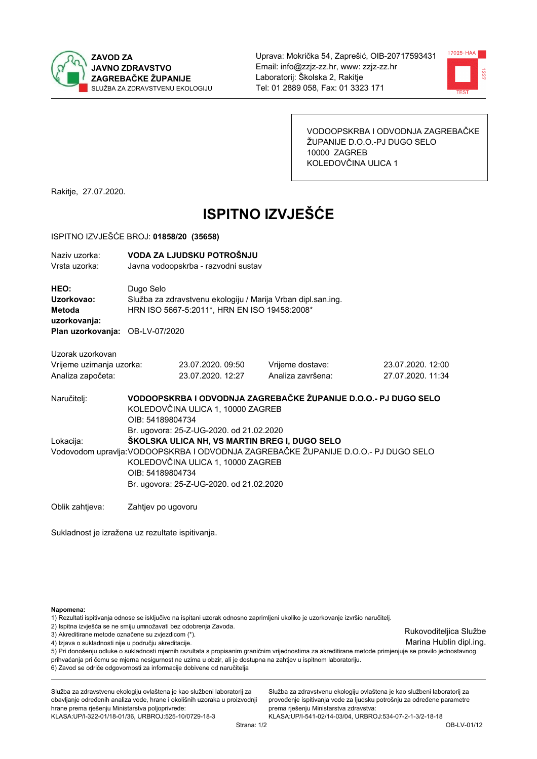



VODOOPSKRBA I ODVODNJA ZAGREBAČKE ŽUPANIJE D.O.O.-PJ DUGO SELO 10000 ZAGREB KOLEDOVČINA ULICA 1

Rakitje, 27.07.2020.

# **ISPITNO IZVJEŠĆE**

#### ISPITNO IZVJEŠĆE BROJ: 01858/20 (35658)

| Naziv uzorka:                   | VODA ZA LJUDSKU POTROŠNJU                                       |                                              |                                                                                     |                   |  |  |  |  |
|---------------------------------|-----------------------------------------------------------------|----------------------------------------------|-------------------------------------------------------------------------------------|-------------------|--|--|--|--|
| Vrsta uzorka:                   |                                                                 | Javna vodoopskrba - razvodni sustav          |                                                                                     |                   |  |  |  |  |
| HEO:                            | Dugo Selo                                                       |                                              |                                                                                     |                   |  |  |  |  |
| Uzorkovao:                      |                                                                 |                                              | Služba za zdravstvenu ekologiju / Marija Vrban dipl.san.ing.                        |                   |  |  |  |  |
| Metoda                          |                                                                 | HRN ISO 5667-5:2011*, HRN EN ISO 19458:2008* |                                                                                     |                   |  |  |  |  |
| uzorkovanja:                    |                                                                 |                                              |                                                                                     |                   |  |  |  |  |
| Plan uzorkovanja: OB-LV-07/2020 |                                                                 |                                              |                                                                                     |                   |  |  |  |  |
|                                 |                                                                 |                                              |                                                                                     |                   |  |  |  |  |
| Uzorak uzorkovan                |                                                                 |                                              |                                                                                     |                   |  |  |  |  |
| Vrijeme uzimanja uzorka:        |                                                                 | 23.07.2020, 09:50                            | Vrijeme dostave:                                                                    | 23.07.2020, 12:00 |  |  |  |  |
| Analiza započeta:               |                                                                 | 23.07.2020. 12:27                            | Analiza završena:                                                                   | 27.07.2020. 11:34 |  |  |  |  |
| Naručitelj:                     | VODOOPSKRBA I ODVODNJA ZAGREBAČKE ŽUPANIJE D.O.O.- PJ DUGO SELO |                                              |                                                                                     |                   |  |  |  |  |
|                                 | KOLEDOVČINA ULICA 1, 10000 ZAGREB                               |                                              |                                                                                     |                   |  |  |  |  |
|                                 | OIB: 54189804734                                                |                                              |                                                                                     |                   |  |  |  |  |
|                                 | Br. ugovora: 25-Z-UG-2020. od 21.02.2020                        |                                              |                                                                                     |                   |  |  |  |  |
| Lokacija:                       |                                                                 |                                              | ŠKOLSKA ULICA NH, VS MARTIN BREG I, DUGO SELO                                       |                   |  |  |  |  |
|                                 |                                                                 |                                              | Vodovodom upravlja: VODOOPSKRBA I ODVODNJA ZAGREBAČKE ŽUPANIJE D.O.O.- PJ DUGO SELO |                   |  |  |  |  |
|                                 | KOLEDOVČINA ULICA 1, 10000 ZAGREB                               |                                              |                                                                                     |                   |  |  |  |  |
|                                 | OIB: 54189804734                                                |                                              |                                                                                     |                   |  |  |  |  |
|                                 |                                                                 | Br. ugovora: 25-Z-UG-2020. od 21.02.2020     |                                                                                     |                   |  |  |  |  |
| Oblik zahtjeva:                 | Zahtjev po ugovoru                                              |                                              |                                                                                     |                   |  |  |  |  |

Sukladnost je izražena uz rezultate ispitivanja.

Napomena:

1) Rezultati ispitivanja odnose se isključivo na ispitani uzorak odnosno zaprimljeni ukoliko je uzorkovanje izvršio naručitelj.

- 2) Ispitna izvješća se ne smiju umnožavati bez odobrenja Zavoda.
- 3) Akreditirane metode označene su zvjezdicom (\*).
- 4) Izjava o sukladnosti nije u području akreditacije.

5) Pri donošenju odluke o sukladnosti mjernih razultata s propisanim graničnim vrijednostima za akreditirane metode primjenjuje se pravilo jednostavnog prihvaćanja pri čemu se mjerna nesigurnost ne uzima u obzir, ali je dostupna na zahtjev u ispitnom laboratoriju.

6) Zavod se odriče odgovornosti za informacije dobivene od naručitelja

Služba za zdravstvenu ekologiju ovlaštena je kao službeni laboratorij za obavljanje određenih analiza vode, hrane i okolišnih uzoraka u proizvodnji hrane prema rješenju Ministarstva poljoprivrede:

KLASA.UP/I-322-01/18-01/36, URBROJ.525-10/0729-18-3

Služba za zdravstvenu ekologiju ovlaštena je kao službeni laboratorij za provođenje ispitivanja vode za ljudsku potrošnju za određene parametre prema riešenju Ministarstva zdravstva:

KLASA:UP/I-541-02/14-03/04, URBROJ:534-07-2-1-3/2-18-18

Rukovoditeljica Službe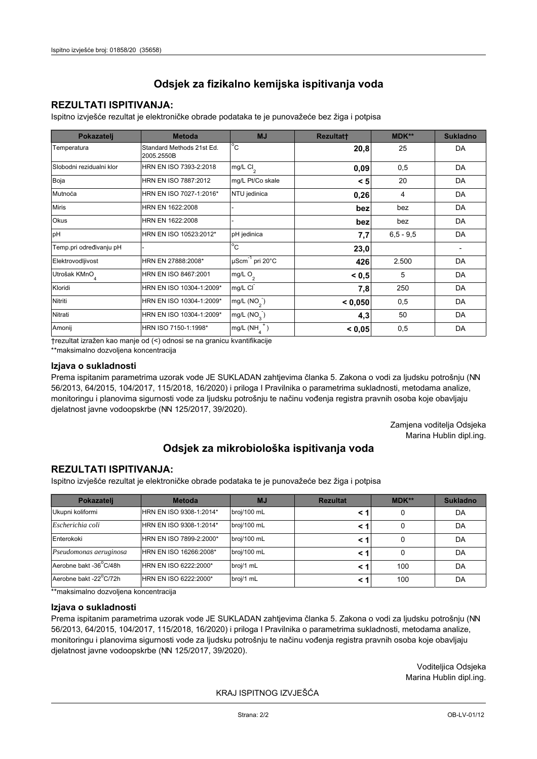## **REZULTATI ISPITIVANJA:**

Ispitno izviešće rezultat je elektroničke obrade podataka te je punovažeće bez žiga i potpisa

| Pokazatelj                | <b>Metoda</b>                           | <b>MJ</b>               | <b>Rezultatt</b> | MDK**         | <b>Sukladno</b> |
|---------------------------|-----------------------------------------|-------------------------|------------------|---------------|-----------------|
| Temperatura               | Standard Methods 21st Ed.<br>2005.2550B | $^{\circ}$ C            | 20,8             | 25            | DA              |
| Slobodni rezidualni klor  | HRN EN ISO 7393-2:2018                  | mg/L $Cl2$              | 0,09             | 0,5           | DA              |
| Boja                      | HRN EN ISO 7887:2012                    | mg/L Pt/Co skale        | < 5              | 20            | DA              |
| Mutnoća                   | HRN EN ISO 7027-1:2016*                 | NTU jedinica            | 0,26             | 4             | DA              |
| <b>Miris</b>              | HRN EN 1622:2008                        |                         | bez              | bez           | DA              |
| Okus                      | HRN EN 1622:2008                        |                         | bez              | bez           | DA              |
| pH                        | HRN EN ISO 10523:2012*                  | pH jedinica             | 7,7              | $6, 5 - 9, 5$ | DA              |
| Temp.pri određivanju pH   |                                         | $^{\circ}$ C            | 23,0             |               |                 |
| Elektrovodljivost         | HRN EN 27888:2008*                      | µScm-1 pri 20°C         | 426              | 2.500         | DA              |
| Utrošak KMnO <sub>4</sub> | HRN EN ISO 8467:2001                    | mg/L O <sub>2</sub>     | < 0.5            | 5             | DA              |
| Kloridi                   | HRN EN ISO 10304-1:2009*                | mg/L CI                 | 7,8              | 250           | DA              |
| Nitriti                   | HRN EN ISO 10304-1:2009*                | mg/L (NO <sub>2</sub> ) | < 0.050          | 0,5           | DA              |
| Nitrati                   | HRN EN ISO 10304-1:2009*                | mg/L (NO <sub>3</sub> ) | 4,3              | 50            | DA              |
| Amonij                    | HRN ISO 7150-1:1998*                    | mg/L (NH                | < 0,05           | 0,5           | DA              |

trezultat izražen kao manje od (<) odnosi se na granicu kvantifikacije

\*\*maksimalno dozvoljena koncentracija

#### Izjava o sukladnosti

Prema ispitanim parametrima uzorak vode JE SUKLADAN zahtievima članka 5. Zakona o vodi za ljudsku potrošnju (NN 56/2013, 64/2015, 104/2017, 115/2018, 16/2020) i priloga I Pravilnika o parametrima sukladnosti, metodama analize, monitoringu i planovima sigurnosti vode za ljudsku potrošnju te načinu vođenja registra pravnih osoba koje obavljaju djelatnost javne vodoopskrbe (NN 125/2017, 39/2020).

> Zamjena voditelja Odsjeka Marina Hublin dipl.ing.

# Odsjek za mikrobiološka ispitivanja voda

## **REZULTATI ISPITIVANJA:**

Ispitno izvješće rezultat je elektroničke obrade podataka te je punovažeće bez žiga i potpisa

| Pokazatelj             | <b>Metoda</b>           | <b>MJ</b>   | <b>Rezultat</b> | $MDK**$ | <b>Sukladno</b> |
|------------------------|-------------------------|-------------|-----------------|---------|-----------------|
| Ukupni koliformi       | HRN EN ISO 9308-1:2014* | broj/100 mL |                 | 0       | DA              |
| Escherichia coli       | HRN EN ISO 9308-1:2014* | broj/100 mL |                 | 0       | DA              |
| Enterokoki             | HRN EN ISO 7899-2:2000* | broj/100 mL |                 | 0       | DA              |
| Pseudomonas aeruginosa | HRN EN ISO 16266:2008*  | broj/100 mL | < 1             | 0       | DA              |
| Aerobne bakt -36 C/48h | HRN EN ISO 6222:2000*   | broj/1 mL   |                 | 100     | DA              |
| Aerobne bakt -22°C/72h | HRN EN ISO 6222:2000*   | broj/1 mL   |                 | 100     | DA              |

\*\* maksimalno dozvoljena koncentracija

#### Izjava o sukladnosti

Prema ispitanim parametrima uzorak vode JE SUKLADAN zahtjevima članka 5. Zakona o vodi za ljudsku potrošnju (NN 56/2013, 64/2015, 104/2017, 115/2018, 16/2020) i priloga I Pravilnika o parametrima sukladnosti, metodama analize, monitoringu i planovima sigurnosti vode za ljudsku potrošnju te načinu vođenja registra pravnih osoba koje obavljaju dielatnost javne vodoopskrbe (NN 125/2017, 39/2020).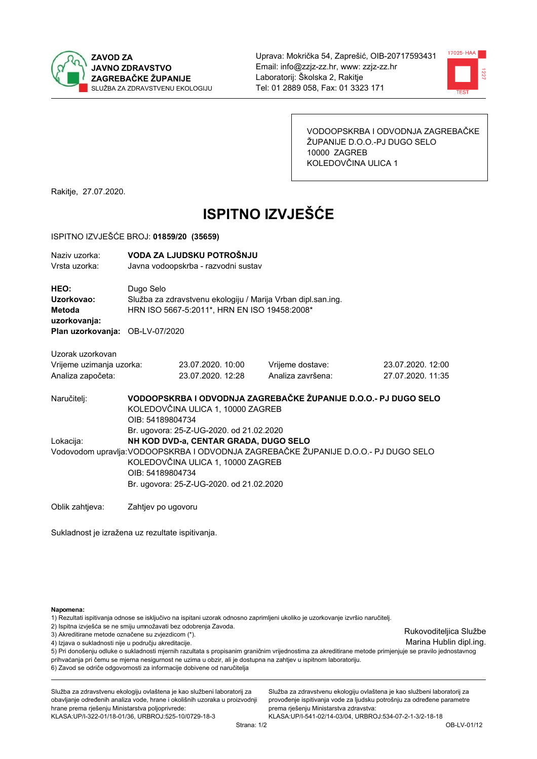



VODOOPSKRBA I ODVODNJA ZAGREBAČKE ŽUPANIJE D.O.O.-PJ DUGO SELO 10000 ZAGREB KOLEDOVČINA ULICA 1

Rakitje, 27.07.2020.

# **ISPITNO IZVJEŠĆE**

#### ISPITNO IZVJEŠĆE BROJ: 01859/20 (35659)

| Naziv uzorka:<br>Vrsta uzorka:                  |                                                                                                                                                                      | VODA ZA LJUDSKU POTROŠNJU<br>Javna vodoopskrba - razvodni sustav |                                                              |                   |  |  |  |  |
|-------------------------------------------------|----------------------------------------------------------------------------------------------------------------------------------------------------------------------|------------------------------------------------------------------|--------------------------------------------------------------|-------------------|--|--|--|--|
| HEO:                                            |                                                                                                                                                                      |                                                                  |                                                              |                   |  |  |  |  |
| Uzorkovao:<br>Metoda                            | Dugo Selo                                                                                                                                                            | HRN ISO 5667-5:2011*, HRN EN ISO 19458:2008*                     | Služba za zdravstvenu ekologiju / Marija Vrban dipl.san.ing. |                   |  |  |  |  |
| uzorkovanja:<br>Plan uzorkovanja: OB-LV-07/2020 |                                                                                                                                                                      |                                                                  |                                                              |                   |  |  |  |  |
| Uzorak uzorkovan                                |                                                                                                                                                                      |                                                                  |                                                              |                   |  |  |  |  |
| Vrijeme uzimanja uzorka:                        |                                                                                                                                                                      | 23.07.2020. 10:00                                                | Vrijeme dostave:                                             | 23.07.2020, 12:00 |  |  |  |  |
| Analiza započeta:                               |                                                                                                                                                                      | 23.07.2020. 12:28                                                | Analiza završena:                                            | 27.07.2020. 11:35 |  |  |  |  |
| Naručitelj:                                     | VODOOPSKRBA I ODVODNJA ZAGREBAČKE ŽUPANIJE D.O.O.- PJ DUGO SELO<br>KOLEDOVČINA ULICA 1, 10000 ZAGREB<br>OIB: 54189804734<br>Br. ugovora: 25-Z-UG-2020. od 21.02.2020 |                                                                  |                                                              |                   |  |  |  |  |
| Lokacija:                                       |                                                                                                                                                                      | NH KOD DVD-a, CENTAR GRADA, DUGO SELO                            |                                                              |                   |  |  |  |  |
|                                                 | Vodovodom upravlja: VODOOPSKRBA I ODVODNJA ZAGREBAČKE ŽUPANIJE D.O.O.- PJ DUGO SELO                                                                                  |                                                                  |                                                              |                   |  |  |  |  |
|                                                 | KOLEDOVČINA ULICA 1, 10000 ZAGREB                                                                                                                                    |                                                                  |                                                              |                   |  |  |  |  |
|                                                 | OIB: 54189804734                                                                                                                                                     |                                                                  |                                                              |                   |  |  |  |  |
|                                                 |                                                                                                                                                                      | Br. ugovora: 25-Z-UG-2020. od 21.02.2020                         |                                                              |                   |  |  |  |  |
| Oblik zahtjeva:                                 | Zahtjev po ugovoru                                                                                                                                                   |                                                                  |                                                              |                   |  |  |  |  |

Sukladnost je izražena uz rezultate ispitivanja.

Napomena:

1) Rezultati ispitivanja odnose se isključivo na ispitani uzorak odnosno zaprimljeni ukoliko je uzorkovanje izvršio naručitelj.

- 2) Ispitna izvješća se ne smiju umnožavati bez odobrenja Zavoda.
- 3) Akreditirane metode označene su zvjezdicom (\*).
- 4) Izjava o sukladnosti nije u području akreditacije.

5) Pri donošenju odluke o sukladnosti mjernih razultata s propisanim graničnim vrijednostima za akreditirane metode primjenjuje se pravilo jednostavnog prihvaćanja pri čemu se mjerna nesigurnost ne uzima u obzir, ali je dostupna na zahtjev u ispitnom laboratoriju. 6) Zavod se odriče odgovornosti za informacije dobivene od naručitelja

Služba za zdravstvenu ekologiju ovlaštena je kao službeni laboratorij za obavljanje određenih analiza vode, hrane i okolišnih uzoraka u proizvodnji hrane prema rješenju Ministarstva poljoprivrede:

KLASA.UP/I-322-01/18-01/36, URBROJ.525-10/0729-18-3

Služba za zdravstvenu ekologiju ovlaštena je kao službeni laboratorij za provođenje ispitivanja vode za ljudsku potrošnju za određene parametre prema riešenju Ministarstva zdravstva:

KLASA:UP/I-541-02/14-03/04, URBROJ:534-07-2-1-3/2-18-18

Rukovoditeljica Službe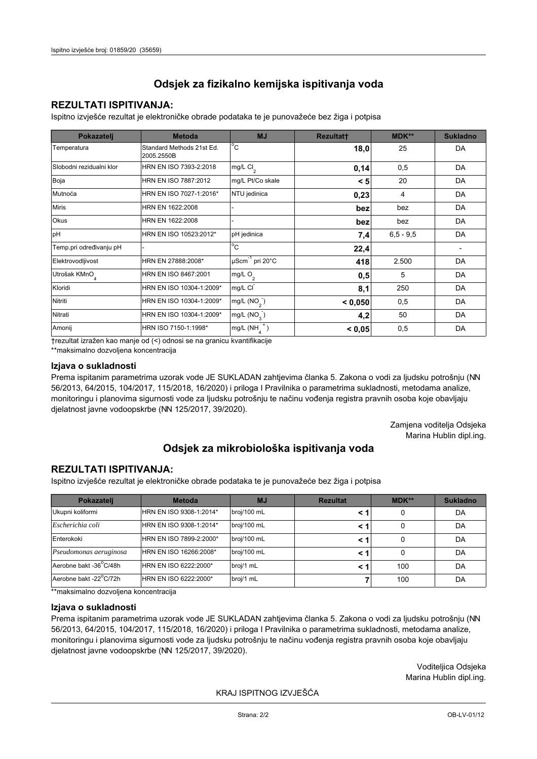## **REZULTATI ISPITIVANJA:**

Ispitno izviešće rezultat je elektroničke obrade podataka te je punovažeće bez žiga i potpisa

| Pokazatelj                | <b>Metoda</b>                           | <b>MJ</b>                   | <b>Rezultatt</b> | MDK**         | <b>Sukladno</b> |
|---------------------------|-----------------------------------------|-----------------------------|------------------|---------------|-----------------|
| Temperatura               | Standard Methods 21st Ed.<br>2005.2550B | $^{\circ}$ C                | 18,0             | 25            | DA              |
| Slobodni rezidualni klor  | HRN EN ISO 7393-2:2018                  | mg/L $Cl2$                  | 0,14             | 0,5           | DA              |
| Boja                      | HRN EN ISO 7887:2012                    | mg/L Pt/Co skale            | < 5              | 20            | DA              |
| Mutnoća                   | HRN EN ISO 7027-1:2016*                 | NTU jedinica                | 0,23             | 4             | DA              |
| <b>Miris</b>              | HRN EN 1622:2008                        |                             | bez              | bez           | DA              |
| Okus                      | HRN EN 1622:2008                        |                             | bez              | bez           | DA              |
| pH                        | HRN EN ISO 10523:2012*                  | pH jedinica                 | 7,4              | $6, 5 - 9, 5$ | DA              |
| Temp.pri određivanju pH   |                                         | $^{\circ}$ C                | 22,4             |               |                 |
| Elektrovodljivost         | HRN EN 27888:2008*                      | µScm <sup>-1</sup> pri 20°C | 418              | 2.500         | DA              |
| Utrošak KMnO <sub>4</sub> | HRN EN ISO 8467:2001                    | mg/L O <sub>2</sub>         | 0,5              | 5             | DA              |
| Kloridi                   | HRN EN ISO 10304-1:2009*                | mg/L CI                     | 8,1              | 250           | DA              |
| Nitriti                   | HRN EN ISO 10304-1:2009*                | mg/L $(NO2)$                | < 0,050          | 0,5           | DA              |
| Nitrati                   | HRN EN ISO 10304-1:2009*                | mg/L $(NO_{\rm q}^-)$       | 4,2              | 50            | DA              |
| Amonij                    | HRN ISO 7150-1:1998*                    | mg/L (NH                    | < 0,05           | 0,5           | DA              |

trezultat izražen kao manje od (<) odnosi se na granicu kvantifikacije

\*\*maksimalno dozvoljena koncentracija

### Izjava o sukladnosti

Prema ispitanim parametrima uzorak vode JE SUKLADAN zahtievima članka 5. Zakona o vodi za ljudsku potrošnju (NN 56/2013, 64/2015, 104/2017, 115/2018, 16/2020) i priloga I Pravilnika o parametrima sukladnosti, metodama analize, monitoringu i planovima sigurnosti vode za ljudsku potrošnju te načinu vođenja registra pravnih osoba koje obavljaju djelatnost javne vodoopskrbe (NN 125/2017, 39/2020).

> Zamjena voditelja Odsjeka Marina Hublin dipl.ing.

# Odsjek za mikrobiološka ispitivanja voda

## **REZULTATI ISPITIVANJA:**

Ispitno izvješće rezultat je elektroničke obrade podataka te je punovažeće bez žiga i potpisa

| Pokazatelj             | <b>Metoda</b>           | <b>MJ</b>   | <b>Rezultat</b> | $MDK**$ | <b>Sukladno</b> |
|------------------------|-------------------------|-------------|-----------------|---------|-----------------|
| Ukupni koliformi       | HRN EN ISO 9308-1:2014* | broj/100 mL |                 | 0       | DA              |
| Escherichia coli       | HRN EN ISO 9308-1:2014* | broj/100 mL |                 | 0       | DA              |
| Enterokoki             | HRN EN ISO 7899-2:2000* | broj/100 mL |                 | 0       | DA              |
| Pseudomonas aeruginosa | HRN EN ISO 16266:2008*  | broj/100 mL | < 1             | 0       | DA              |
| Aerobne bakt -36 C/48h | HRN EN ISO 6222:2000*   | broj/1 mL   |                 | 100     | DA              |
| Aerobne bakt -22°C/72h | HRN EN ISO 6222:2000*   | broj/1 mL   |                 | 100     | DA              |

\*\* maksimalno dozvoljena koncentracija

#### Izjava o sukladnosti

Prema ispitanim parametrima uzorak vode JE SUKLADAN zahtjevima članka 5. Zakona o vodi za ljudsku potrošnju (NN 56/2013, 64/2015, 104/2017, 115/2018, 16/2020) i priloga I Pravilnika o parametrima sukladnosti, metodama analize, monitoringu i planovima sigurnosti vode za ljudsku potrošnju te načinu vođenja registra pravnih osoba koje obavljaju dielatnost javne vodoopskrbe (NN 125/2017, 39/2020).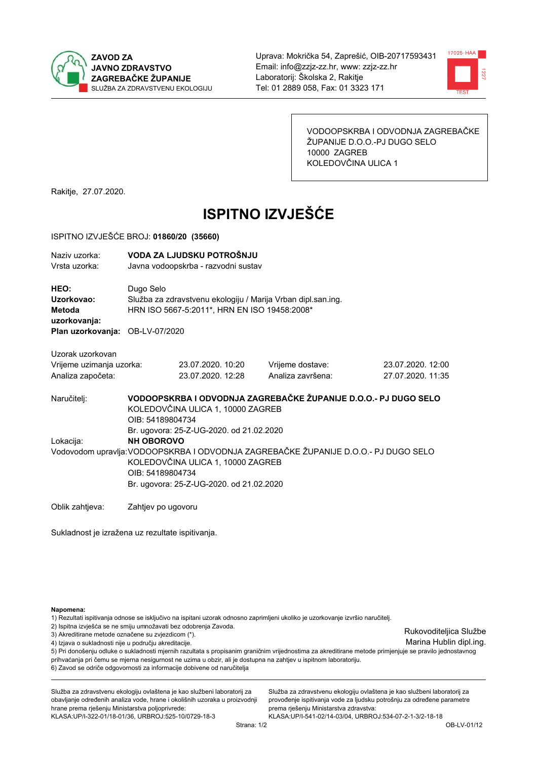



VODOOPSKRBA I ODVODNJA ZAGREBAČKE ŽUPANIJE D.O.O.-PJ DUGO SELO 10000 ZAGREB KOLEDOVČINA ULICA 1

Rakitje, 27.07.2020.

# **ISPITNO IZVJEŠĆE**

#### ISPITNO IZVJEŠĆE BROJ: 01860/20 (35660)

| Naziv uzorka:<br>Vrsta uzorka:                      |                                                                                                                                                                                          | VODA ZA LJUDSKU POTROŠNJU<br>Javna vodoopskrba - razvodni sustav |                   |                   |  |  |  |  |
|-----------------------------------------------------|------------------------------------------------------------------------------------------------------------------------------------------------------------------------------------------|------------------------------------------------------------------|-------------------|-------------------|--|--|--|--|
| <b>HEO:</b><br>Uzorkovao:<br>Metoda<br>uzorkovanja: | Dugo Selo<br>Služba za zdravstvenu ekologiju / Marija Vrban dipl.san.ing.<br>HRN ISO 5667-5:2011*, HRN EN ISO 19458:2008*                                                                |                                                                  |                   |                   |  |  |  |  |
| Plan uzorkovanja: OB-LV-07/2020                     |                                                                                                                                                                                          |                                                                  |                   |                   |  |  |  |  |
| Uzorak uzorkovan                                    |                                                                                                                                                                                          |                                                                  |                   |                   |  |  |  |  |
| Vrijeme uzimanja uzorka:                            |                                                                                                                                                                                          | 23.07.2020. 10:20                                                | Vrijeme dostave:  | 23.07.2020. 12:00 |  |  |  |  |
| Analiza započeta:                                   |                                                                                                                                                                                          | 23.07.2020. 12:28                                                | Analiza završena: | 27.07.2020. 11:35 |  |  |  |  |
| Naručitelj:                                         | VODOOPSKRBA I ODVODNJA ZAGREBAČKE ŽUPANIJE D.O.O.- PJ DUGO SELO<br>KOLEDOVČINA ULICA 1, 10000 ZAGREB<br>OIB: 54189804734<br>Br. ugovora: 25-Z-UG-2020. od 21.02.2020                     |                                                                  |                   |                   |  |  |  |  |
| Lokacija:                                           | <b>NH OBOROVO</b>                                                                                                                                                                        |                                                                  |                   |                   |  |  |  |  |
|                                                     | Vodovodom upravlja: VODOOPSKRBA I ODVODNJA ZAGREBAČKE ŽUPANIJE D.O.O.- PJ DUGO SELO<br>KOLEDOVČINA ULICA 1, 10000 ZAGREB<br>OIB: 54189804734<br>Br. ugovora: 25-Z-UG-2020. od 21.02.2020 |                                                                  |                   |                   |  |  |  |  |
| Oblik zahtjeva:                                     | Zahtjev po ugovoru                                                                                                                                                                       |                                                                  |                   |                   |  |  |  |  |

Sukladnost je izražena uz rezultate ispitivanja.

Napomena:

1) Rezultati ispitivanja odnose se isključivo na ispitani uzorak odnosno zaprimljeni ukoliko je uzorkovanje izvršio naručitelj.

2) Ispitna izvješća se ne smiju umnožavati bez odobrenja Zavoda.

3) Akreditirane metode označene su zvjezdicom (\*).

4) Izjava o sukladnosti nije u području akreditacije.

5) Pri donošenju odluke o sukladnosti mjernih razultata s propisanim graničnim vrijednostima za akreditirane metode primjenjuje se pravilo jednostavnog prihvaćanja pri čemu se mjerna nesigurnost ne uzima u obzir, ali je dostupna na zahtjev u ispitnom laboratoriju.

6) Zavod se odriče odgovornosti za informacije dobivene od naručitelja

Služba za zdravstvenu ekologiju ovlaštena je kao službeni laboratorij za obavljanje određenih analiza vode, hrane i okolišnih uzoraka u proizvodnji hrane prema rješenju Ministarstva poljoprivrede:

KLASA.UP/I-322-01/18-01/36, URBROJ.525-10/0729-18-3

Služba za zdravstvenu ekologiju ovlaštena je kao službeni laboratorij za provođenje ispitivanja vode za ljudsku potrošnju za određene parametre prema riešenju Ministarstva zdravstva:

KLASA:UP/I-541-02/14-03/04, URBROJ:534-07-2-1-3/2-18-18

Rukovoditeljica Službe